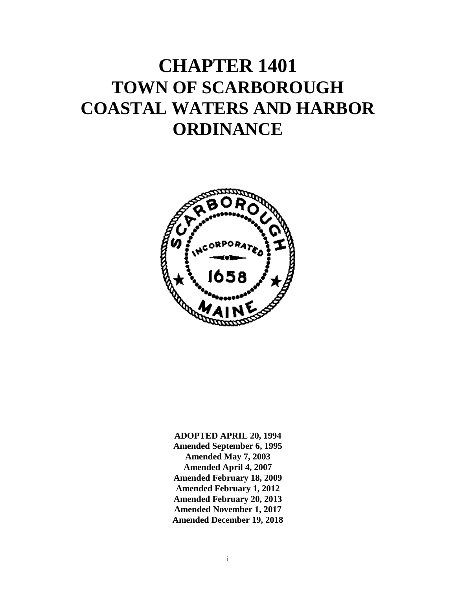# **CHAPTER 1401 TOWN OF SCARBOROUGH COASTAL WATERS AND HARBOR ORDINANCE**



**ADOPTED APRIL 20, 1994 Amended September 6, 1995 Amended May 7, 2003 Amended April 4, 2007 Amended February 18, 2009 Amended February 1, 2012 Amended February 20, 2013 Amended November 1, 2017 Amended December 19, 2018**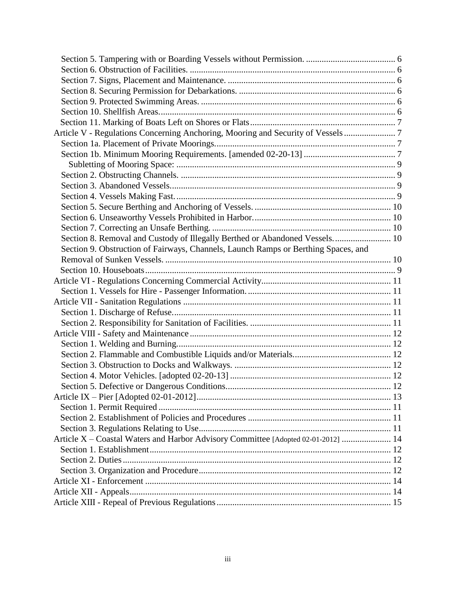| Article V - Regulations Concerning Anchoring, Mooring and Security of Vessels 7    |  |
|------------------------------------------------------------------------------------|--|
|                                                                                    |  |
|                                                                                    |  |
|                                                                                    |  |
|                                                                                    |  |
|                                                                                    |  |
|                                                                                    |  |
|                                                                                    |  |
|                                                                                    |  |
|                                                                                    |  |
| Section 8. Removal and Custody of Illegally Berthed or Abandoned Vessels 10        |  |
| Section 9. Obstruction of Fairways, Channels, Launch Ramps or Berthing Spaces, and |  |
|                                                                                    |  |
|                                                                                    |  |
|                                                                                    |  |
|                                                                                    |  |
|                                                                                    |  |
|                                                                                    |  |
|                                                                                    |  |
|                                                                                    |  |
|                                                                                    |  |
|                                                                                    |  |
|                                                                                    |  |
|                                                                                    |  |
|                                                                                    |  |
|                                                                                    |  |
|                                                                                    |  |
|                                                                                    |  |
|                                                                                    |  |
| Article X – Coastal Waters and Harbor Advisory Committee [Adopted 02-01-2012]  14  |  |
|                                                                                    |  |
|                                                                                    |  |
|                                                                                    |  |
|                                                                                    |  |
|                                                                                    |  |
|                                                                                    |  |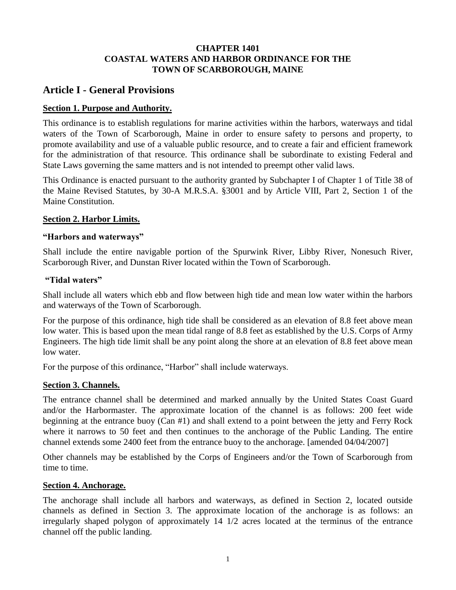#### **CHAPTER 1401 COASTAL WATERS AND HARBOR ORDINANCE FOR THE TOWN OF SCARBOROUGH, MAINE**

# <span id="page-3-0"></span>**Article I - General Provisions**

# <span id="page-3-1"></span>**Section 1. Purpose and Authority.**

This ordinance is to establish regulations for marine activities within the harbors, waterways and tidal waters of the Town of Scarborough, Maine in order to ensure safety to persons and property, to promote availability and use of a valuable public resource, and to create a fair and efficient framework for the administration of that resource. This ordinance shall be subordinate to existing Federal and State Laws governing the same matters and is not intended to preempt other valid laws.

This Ordinance is enacted pursuant to the authority granted by Subchapter I of Chapter 1 of Title 38 of the Maine Revised Statutes, by 30-A M.R.S.A. §3001 and by Article VIII, Part 2, Section 1 of the Maine Constitution.

#### <span id="page-3-2"></span>**Section 2. Harbor Limits.**

#### <span id="page-3-3"></span>**"Harbors and waterways"**

Shall include the entire navigable portion of the Spurwink River, Libby River, Nonesuch River, Scarborough River, and Dunstan River located within the Town of Scarborough.

#### <span id="page-3-4"></span>**"Tidal waters"**

Shall include all waters which ebb and flow between high tide and mean low water within the harbors and waterways of the Town of Scarborough.

For the purpose of this ordinance, high tide shall be considered as an elevation of 8.8 feet above mean low water. This is based upon the mean tidal range of 8.8 feet as established by the U.S. Corps of Army Engineers. The high tide limit shall be any point along the shore at an elevation of 8.8 feet above mean low water.

For the purpose of this ordinance, "Harbor" shall include waterways.

# <span id="page-3-5"></span>**Section 3. Channels.**

The entrance channel shall be determined and marked annually by the United States Coast Guard and/or the Harbormaster. The approximate location of the channel is as follows: 200 feet wide beginning at the entrance buoy (Can #1) and shall extend to a point between the jetty and Ferry Rock where it narrows to 50 feet and then continues to the anchorage of the Public Landing. The entire channel extends some 2400 feet from the entrance buoy to the anchorage. [amended 04/04/2007]

Other channels may be established by the Corps of Engineers and/or the Town of Scarborough from time to time.

# <span id="page-3-6"></span>**Section 4. Anchorage.**

The anchorage shall include all harbors and waterways, as defined in Section 2, located outside channels as defined in Section 3. The approximate location of the anchorage is as follows: an irregularly shaped polygon of approximately 14 1/2 acres located at the terminus of the entrance channel off the public landing.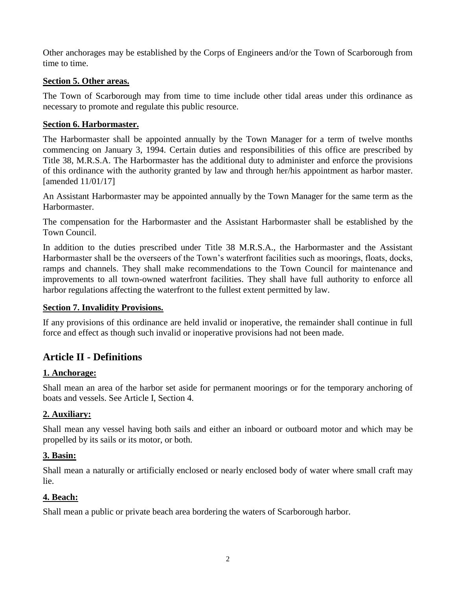Other anchorages may be established by the Corps of Engineers and/or the Town of Scarborough from time to time.

## <span id="page-4-0"></span>**Section 5. Other areas.**

The Town of Scarborough may from time to time include other tidal areas under this ordinance as necessary to promote and regulate this public resource.

#### <span id="page-4-1"></span>**Section 6. Harbormaster.**

The Harbormaster shall be appointed annually by the Town Manager for a term of twelve months commencing on January 3, 1994. Certain duties and responsibilities of this office are prescribed by Title 38, M.R.S.A. The Harbormaster has the additional duty to administer and enforce the provisions of this ordinance with the authority granted by law and through her/his appointment as harbor master. [amended 11/01/17]

An Assistant Harbormaster may be appointed annually by the Town Manager for the same term as the Harbormaster.

The compensation for the Harbormaster and the Assistant Harbormaster shall be established by the Town Council.

In addition to the duties prescribed under Title 38 M.R.S.A., the Harbormaster and the Assistant Harbormaster shall be the overseers of the Town's waterfront facilities such as moorings, floats, docks, ramps and channels. They shall make recommendations to the Town Council for maintenance and improvements to all town-owned waterfront facilities. They shall have full authority to enforce all harbor regulations affecting the waterfront to the fullest extent permitted by law.

#### <span id="page-4-2"></span>**Section 7. Invalidity Provisions.**

If any provisions of this ordinance are held invalid or inoperative, the remainder shall continue in full force and effect as though such invalid or inoperative provisions had not been made.

# <span id="page-4-3"></span>**Article II - Definitions**

# <span id="page-4-4"></span>**1. Anchorage:**

Shall mean an area of the harbor set aside for permanent moorings or for the temporary anchoring of boats and vessels. See Article I, Section 4.

# <span id="page-4-5"></span>**2. Auxiliary:**

Shall mean any vessel having both sails and either an inboard or outboard motor and which may be propelled by its sails or its motor, or both.

#### <span id="page-4-6"></span>**3. Basin:**

Shall mean a naturally or artificially enclosed or nearly enclosed body of water where small craft may lie.

#### <span id="page-4-7"></span>**4. Beach:**

Shall mean a public or private beach area bordering the waters of Scarborough harbor.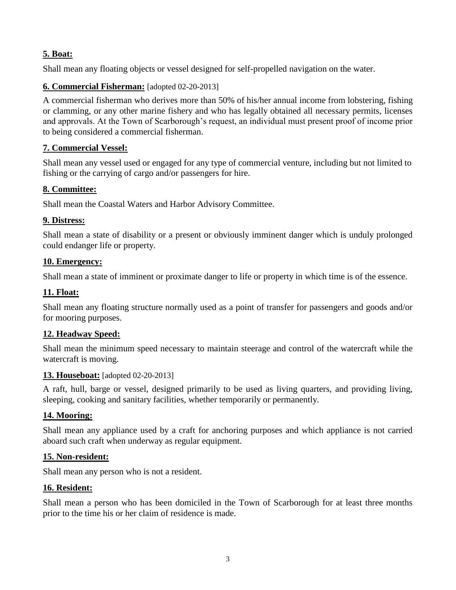# <span id="page-5-0"></span>**5. Boat:**

Shall mean any floating objects or vessel designed for self-propelled navigation on the water.

# <span id="page-5-1"></span>**6. Commercial Fisherman:** [adopted 02-20-2013]

A commercial fisherman who derives more than 50% of his/her annual income from lobstering, fishing or clamming, or any other marine fishery and who has legally obtained all necessary permits, licenses and approvals. At the Town of Scarborough's request, an individual must present proof of income prior to being considered a commercial fisherman.

# <span id="page-5-2"></span>**7. Commercial Vessel:**

Shall mean any vessel used or engaged for any type of commercial venture, including but not limited to fishing or the carrying of cargo and/or passengers for hire.

# **8. Committee:**

Shall mean the Coastal Waters and Harbor Advisory Committee.

# <span id="page-5-3"></span>**9. Distress:**

Shall mean a state of disability or a present or obviously imminent danger which is unduly prolonged could endanger life or property.

# <span id="page-5-4"></span>**10. Emergency:**

Shall mean a state of imminent or proximate danger to life or property in which time is of the essence.

# <span id="page-5-5"></span>**11. Float:**

Shall mean any floating structure normally used as a point of transfer for passengers and goods and/or for mooring purposes.

# <span id="page-5-6"></span>**12. Headway Speed:**

Shall mean the minimum speed necessary to maintain steerage and control of the watercraft while the watercraft is moving.

# <span id="page-5-7"></span>**13. Houseboat:** [adopted 02-20-2013]

A raft, hull, barge or vessel, designed primarily to be used as living quarters, and providing living, sleeping, cooking and sanitary facilities, whether temporarily or permanently.

# <span id="page-5-8"></span>**14. Mooring:**

Shall mean any appliance used by a craft for anchoring purposes and which appliance is not carried aboard such craft when underway as regular equipment.

# <span id="page-5-9"></span>**15. Non-resident:**

Shall mean any person who is not a resident.

# <span id="page-5-10"></span>**16. Resident:**

Shall mean a person who has been domiciled in the Town of Scarborough for at least three months prior to the time his or her claim of residence is made.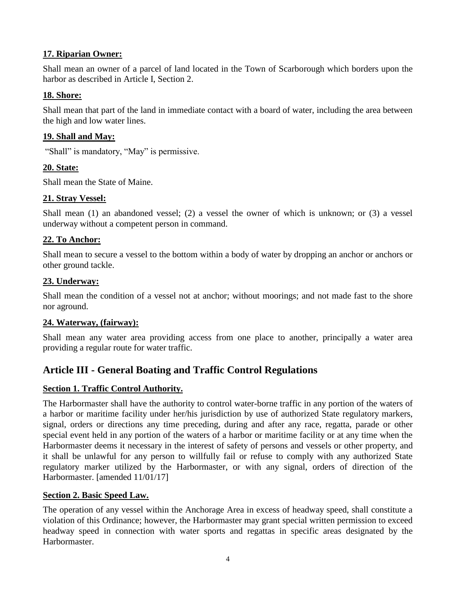# <span id="page-6-0"></span>**17. Riparian Owner:**

Shall mean an owner of a parcel of land located in the Town of Scarborough which borders upon the harbor as described in Article I, Section 2.

# <span id="page-6-1"></span>**18. Shore:**

Shall mean that part of the land in immediate contact with a board of water, including the area between the high and low water lines.

# <span id="page-6-2"></span>**19. Shall and May:**

"Shall" is mandatory, "May" is permissive.

# <span id="page-6-3"></span>**20. State:**

Shall mean the State of Maine.

# <span id="page-6-4"></span>**21. Stray Vessel:**

Shall mean (1) an abandoned vessel; (2) a vessel the owner of which is unknown; or (3) a vessel underway without a competent person in command.

# <span id="page-6-5"></span>**22. To Anchor:**

Shall mean to secure a vessel to the bottom within a body of water by dropping an anchor or anchors or other ground tackle.

# <span id="page-6-6"></span>**23. Underway:**

Shall mean the condition of a vessel not at anchor; without moorings; and not made fast to the shore nor aground.

# <span id="page-6-7"></span>**24. Waterway, (fairway):**

Shall mean any water area providing access from one place to another, principally a water area providing a regular route for water traffic.

# <span id="page-6-8"></span>**Article III - General Boating and Traffic Control Regulations**

# <span id="page-6-9"></span>**Section 1. Traffic Control Authority.**

The Harbormaster shall have the authority to control water-borne traffic in any portion of the waters of a harbor or maritime facility under her/his jurisdiction by use of authorized State regulatory markers, signal, orders or directions any time preceding, during and after any race, regatta, parade or other special event held in any portion of the waters of a harbor or maritime facility or at any time when the Harbormaster deems it necessary in the interest of safety of persons and vessels or other property, and it shall be unlawful for any person to willfully fail or refuse to comply with any authorized State regulatory marker utilized by the Harbormaster, or with any signal, orders of direction of the Harbormaster. [amended 11/01/17]

# <span id="page-6-10"></span>**Section 2. Basic Speed Law.**

The operation of any vessel within the Anchorage Area in excess of headway speed, shall constitute a violation of this Ordinance; however, the Harbormaster may grant special written permission to exceed headway speed in connection with water sports and regattas in specific areas designated by the Harbormaster.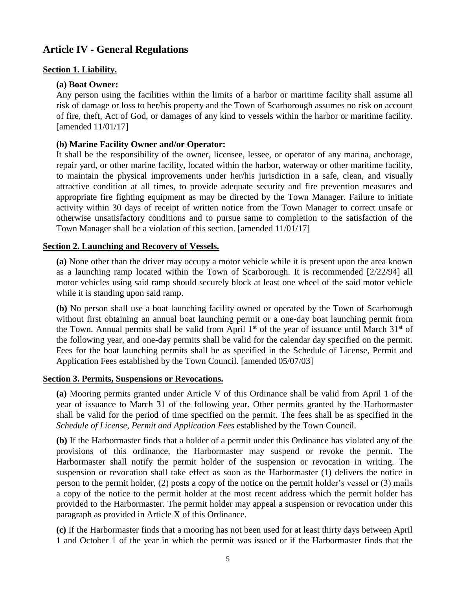# <span id="page-7-0"></span>**Article IV - General Regulations**

## <span id="page-7-2"></span><span id="page-7-1"></span>**Section 1. Liability.**

#### **(a) Boat Owner:**

Any person using the facilities within the limits of a harbor or maritime facility shall assume all risk of damage or loss to her/his property and the Town of Scarborough assumes no risk on account of fire, theft, Act of God, or damages of any kind to vessels within the harbor or maritime facility. [amended 11/01/17]

#### <span id="page-7-3"></span>**(b) Marine Facility Owner and/or Operator:**

It shall be the responsibility of the owner, licensee, lessee, or operator of any marina, anchorage, repair yard, or other marine facility, located within the harbor, waterway or other maritime facility, to maintain the physical improvements under her/his jurisdiction in a safe, clean, and visually attractive condition at all times, to provide adequate security and fire prevention measures and appropriate fire fighting equipment as may be directed by the Town Manager. Failure to initiate activity within 30 days of receipt of written notice from the Town Manager to correct unsafe or otherwise unsatisfactory conditions and to pursue same to completion to the satisfaction of the Town Manager shall be a violation of this section. [amended 11/01/17]

#### <span id="page-7-4"></span>**Section 2. Launching and Recovery of Vessels.**

**(a)** None other than the driver may occupy a motor vehicle while it is present upon the area known as a launching ramp located within the Town of Scarborough. It is recommended [2/22/94] all motor vehicles using said ramp should securely block at least one wheel of the said motor vehicle while it is standing upon said ramp.

**(b)** No person shall use a boat launching facility owned or operated by the Town of Scarborough without first obtaining an annual boat launching permit or a one-day boat launching permit from the Town. Annual permits shall be valid from April  $1<sup>st</sup>$  of the year of issuance until March  $31<sup>st</sup>$  of the following year, and one-day permits shall be valid for the calendar day specified on the permit. Fees for the boat launching permits shall be as specified in the Schedule of License, Permit and Application Fees established by the Town Council. [amended 05/07/03]

#### <span id="page-7-5"></span>**Section 3. Permits, Suspensions or Revocations.**

**(a)** Mooring permits granted under Article V of this Ordinance shall be valid from April 1 of the year of issuance to March 31 of the following year. Other permits granted by the Harbormaster shall be valid for the period of time specified on the permit. The fees shall be as specified in the *Schedule of License, Permit and Application Fees* established by the Town Council.

**(b)** If the Harbormaster finds that a holder of a permit under this Ordinance has violated any of the provisions of this ordinance, the Harbormaster may suspend or revoke the permit. The Harbormaster shall notify the permit holder of the suspension or revocation in writing. The suspension or revocation shall take effect as soon as the Harbormaster (1) delivers the notice in person to the permit holder, (2) posts a copy of the notice on the permit holder's vessel or (3) mails a copy of the notice to the permit holder at the most recent address which the permit holder has provided to the Harbormaster. The permit holder may appeal a suspension or revocation under this paragraph as provided in Article X of this Ordinance.

**(c)** If the Harbormaster finds that a mooring has not been used for at least thirty days between April 1 and October 1 of the year in which the permit was issued or if the Harbormaster finds that the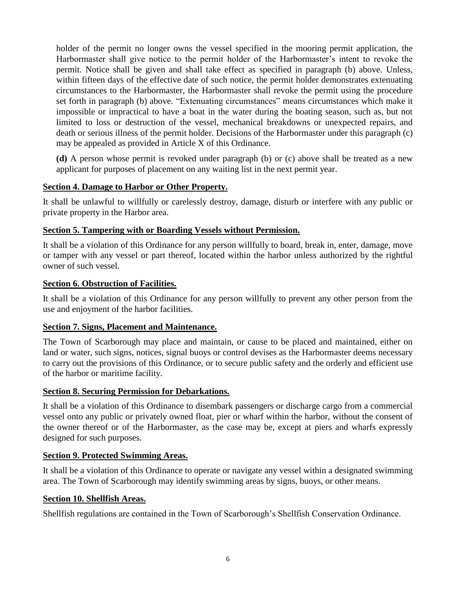holder of the permit no longer owns the vessel specified in the mooring permit application, the Harbormaster shall give notice to the permit holder of the Harbormaster's intent to revoke the permit. Notice shall be given and shall take effect as specified in paragraph (b) above. Unless, within fifteen days of the effective date of such notice, the permit holder demonstrates extenuating circumstances to the Harbormaster, the Harbormaster shall revoke the permit using the procedure set forth in paragraph (b) above. "Extenuating circumstances" means circumstances which make it impossible or impractical to have a boat in the water during the boating season, such as, but not limited to loss or destruction of the vessel, mechanical breakdowns or unexpected repairs, and death or serious illness of the permit holder. Decisions of the Harbormaster under this paragraph (c) may be appealed as provided in Article X of this Ordinance.

**(d)** A person whose permit is revoked under paragraph (b) or (c) above shall be treated as a new applicant for purposes of placement on any waiting list in the next permit year.

# <span id="page-8-0"></span>**Section 4. Damage to Harbor or Other Property.**

It shall be unlawful to willfully or carelessly destroy, damage, disturb or interfere with any public or private property in the Harbor area.

#### <span id="page-8-1"></span>**Section 5. Tampering with or Boarding Vessels without Permission.**

It shall be a violation of this Ordinance for any person willfully to board, break in, enter, damage, move or tamper with any vessel or part thereof, located within the harbor unless authorized by the rightful owner of such vessel.

#### <span id="page-8-2"></span>**Section 6. Obstruction of Facilities.**

It shall be a violation of this Ordinance for any person willfully to prevent any other person from the use and enjoyment of the harbor facilities.

#### <span id="page-8-3"></span>**Section 7. Signs, Placement and Maintenance.**

The Town of Scarborough may place and maintain, or cause to be placed and maintained, either on land or water, such signs, notices, signal buoys or control devises as the Harbormaster deems necessary to carry out the provisions of this Ordinance, or to secure public safety and the orderly and efficient use of the harbor or maritime facility.

#### <span id="page-8-4"></span>**Section 8. Securing Permission for Debarkations.**

It shall be a violation of this Ordinance to disembark passengers or discharge cargo from a commercial vessel onto any public or privately owned float, pier or wharf within the harbor, without the consent of the owner thereof or of the Harbormaster, as the case may be, except at piers and wharfs expressly designed for such purposes.

#### <span id="page-8-5"></span>**Section 9. Protected Swimming Areas.**

It shall be a violation of this Ordinance to operate or navigate any vessel within a designated swimming area. The Town of Scarborough may identify swimming areas by signs, buoys, or other means.

#### <span id="page-8-6"></span>**Section 10. Shellfish Areas.**

Shellfish regulations are contained in the Town of Scarborough's Shellfish Conservation Ordinance.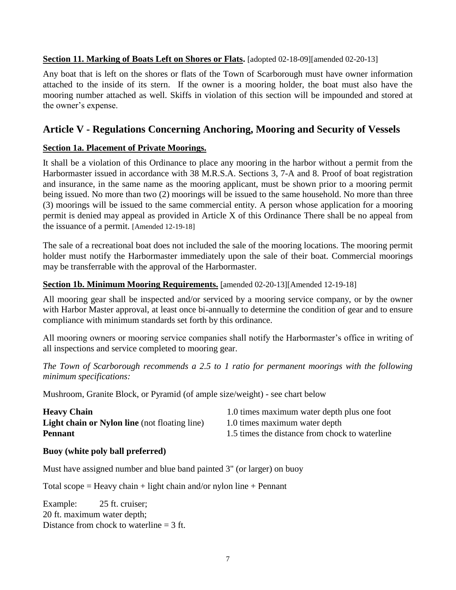# **Section 11. Marking of Boats Left on Shores or Flats.** [adopted 02-18-09][amended 02-20-13]

Any boat that is left on the shores or flats of the Town of Scarborough must have owner information attached to the inside of its stern. If the owner is a mooring holder, the boat must also have the mooring number attached as well. Skiffs in violation of this section will be impounded and stored at the owner's expense.

# <span id="page-9-0"></span>**Article V - Regulations Concerning Anchoring, Mooring and Security of Vessels**

# <span id="page-9-1"></span>**Section 1a. Placement of Private Moorings.**

It shall be a violation of this Ordinance to place any mooring in the harbor without a permit from the Harbormaster issued in accordance with 38 M.R.S.A. Sections 3, 7-A and 8. Proof of boat registration and insurance, in the same name as the mooring applicant, must be shown prior to a mooring permit being issued. No more than two (2) moorings will be issued to the same household. No more than three (3) moorings will be issued to the same commercial entity. A person whose application for a mooring permit is denied may appeal as provided in Article X of this Ordinance There shall be no appeal from the issuance of a permit. [Amended 12-19-18]

The sale of a recreational boat does not included the sale of the mooring locations. The mooring permit holder must notify the Harbormaster immediately upon the sale of their boat. Commercial moorings may be transferrable with the approval of the Harbormaster.

# <span id="page-9-2"></span>**Section 1b. Minimum Mooring Requirements.** [amended 02-20-13][Amended 12-19-18]

All mooring gear shall be inspected and/or serviced by a mooring service company, or by the owner with Harbor Master approval, at least once bi-annually to determine the condition of gear and to ensure compliance with minimum standards set forth by this ordinance.

All mooring owners or mooring service companies shall notify the Harbormaster's office in writing of all inspections and service completed to mooring gear.

*The Town of Scarborough recommends a 2.5 to 1 ratio for permanent moorings with the following minimum specifications:*

Mushroom, Granite Block, or Pyramid (of ample size/weight) - see chart below

| <b>Heavy Chain</b>                                   | 1.0 times maximum water depth plus one foot    |
|------------------------------------------------------|------------------------------------------------|
| <b>Light chain or Nylon line</b> (not floating line) | 1.0 times maximum water depth                  |
| <b>Pennant</b>                                       | 1.5 times the distance from chock to waterline |

# **Buoy (white poly ball preferred)**

Must have assigned number and blue band painted 3" (or larger) on buoy

Total scope = Heavy chain + light chain and/or nylon line + Pennant

Example: 25 ft. cruiser; 20 ft. maximum water depth; Distance from chock to waterline  $=$  3 ft.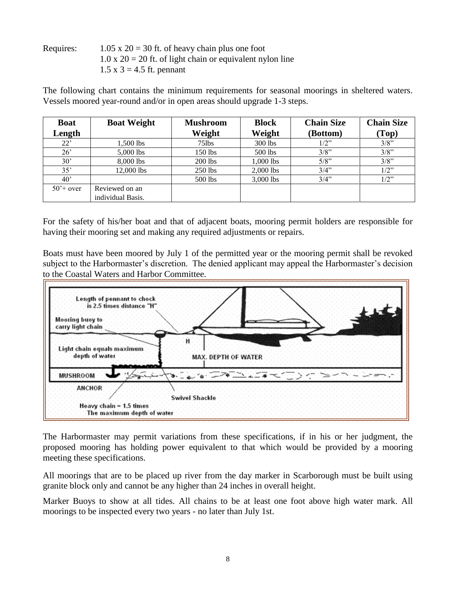Requires:  $1.05 \times 20 = 30$  ft. of heavy chain plus one foot  $1.0 \times 20 = 20$  ft. of light chain or equivalent nylon line  $1.5 \times 3 = 4.5$  ft. pennant

The following chart contains the minimum requirements for seasonal moorings in sheltered waters. Vessels moored year-round and/or in open areas should upgrade 1-3 steps.

| <b>Boat</b>       | <b>Boat Weight</b> | <b>Mushroom</b> | <b>Block</b> | <b>Chain Size</b> | <b>Chain Size</b> |
|-------------------|--------------------|-----------------|--------------|-------------------|-------------------|
| Length            |                    | Weight          | Weight       | (Bottom)          | (Top)             |
| 22'               | 1.500 lbs          | $75$ lbs        | 300 lbs      | $1/2$ "           | 3/8"              |
| $26^{\circ}$      | 5,000 lbs          | $150$ lbs       | 500 lbs      | $3/8$ "           | 3/8"              |
| $30^{\circ}$      | 8,000 lbs          | 200 lbs         | 1,000 lbs    | 5/8"              | 3/8"              |
| 35'               | $12,000$ lbs       | $250$ lbs       | 2,000 lbs    | 3/4"              | $1/2$ "           |
| $40^{\circ}$      |                    | 500 lbs         | $3,000$ lbs  | 3/4"              | $1/2$ "           |
| $50^{\circ}$ over | Reviewed on an     |                 |              |                   |                   |
|                   | individual Basis.  |                 |              |                   |                   |

For the safety of his/her boat and that of adjacent boats, mooring permit holders are responsible for having their mooring set and making any required adjustments or repairs.

Boats must have been moored by July 1 of the permitted year or the mooring permit shall be revoked subject to the Harbormaster's discretion. The denied applicant may appeal the Harbormaster's decision to the Coastal Waters and Harbor Committee.



The Harbormaster may permit variations from these specifications, if in his or her judgment, the proposed mooring has holding power equivalent to that which would be provided by a mooring meeting these specifications.

All moorings that are to be placed up river from the day marker in Scarborough must be built using granite block only and cannot be any higher than 24 inches in overall height.

Marker Buoys to show at all tides. All chains to be at least one foot above high water mark. All moorings to be inspected every two years - no later than July 1st.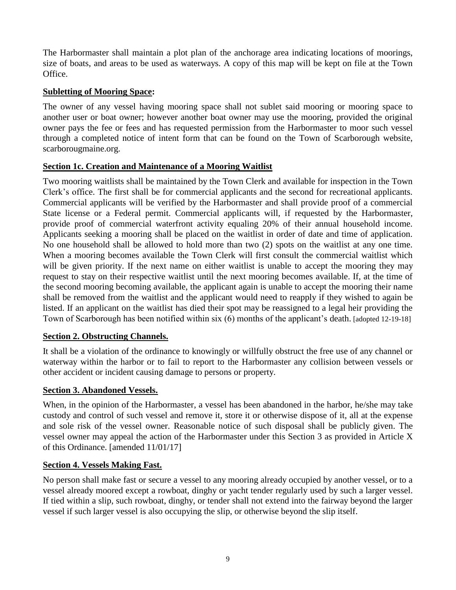The Harbormaster shall maintain a plot plan of the anchorage area indicating locations of moorings, size of boats, and areas to be used as waterways. A copy of this map will be kept on file at the Town Office.

# <span id="page-11-0"></span>**Subletting of Mooring Space:**

The owner of any vessel having mooring space shall not sublet said mooring or mooring space to another user or boat owner; however another boat owner may use the mooring, provided the original owner pays the fee or fees and has requested permission from the Harbormaster to moor such vessel through a completed notice of intent form that can be found on the Town of Scarborough website, scarborougmaine.org.

# **Section 1c. Creation and Maintenance of a Mooring Waitlist**

Two mooring waitlists shall be maintained by the Town Clerk and available for inspection in the Town Clerk's office. The first shall be for commercial applicants and the second for recreational applicants. Commercial applicants will be verified by the Harbormaster and shall provide proof of a commercial State license or a Federal permit. Commercial applicants will, if requested by the Harbormaster, provide proof of commercial waterfront activity equaling 20% of their annual household income. Applicants seeking a mooring shall be placed on the waitlist in order of date and time of application. No one household shall be allowed to hold more than two (2) spots on the waitlist at any one time. When a mooring becomes available the Town Clerk will first consult the commercial waitlist which will be given priority. If the next name on either waitlist is unable to accept the mooring they may request to stay on their respective waitlist until the next mooring becomes available. If, at the time of the second mooring becoming available, the applicant again is unable to accept the mooring their name shall be removed from the waitlist and the applicant would need to reapply if they wished to again be listed. If an applicant on the waitlist has died their spot may be reassigned to a legal heir providing the Town of Scarborough has been notified within six (6) months of the applicant's death. [adopted 12-19-18]

# <span id="page-11-1"></span>**Section 2. Obstructing Channels.**

It shall be a violation of the ordinance to knowingly or willfully obstruct the free use of any channel or waterway within the harbor or to fail to report to the Harbormaster any collision between vessels or other accident or incident causing damage to persons or property.

# <span id="page-11-2"></span>**Section 3. Abandoned Vessels.**

When, in the opinion of the Harbormaster, a vessel has been abandoned in the harbor, he/she may take custody and control of such vessel and remove it, store it or otherwise dispose of it, all at the expense and sole risk of the vessel owner. Reasonable notice of such disposal shall be publicly given. The vessel owner may appeal the action of the Harbormaster under this Section 3 as provided in Article X of this Ordinance. [amended 11/01/17]

# <span id="page-11-3"></span>**Section 4. Vessels Making Fast.**

No person shall make fast or secure a vessel to any mooring already occupied by another vessel, or to a vessel already moored except a rowboat, dinghy or yacht tender regularly used by such a larger vessel. If tied within a slip, such rowboat, dinghy, or tender shall not extend into the fairway beyond the larger vessel if such larger vessel is also occupying the slip, or otherwise beyond the slip itself.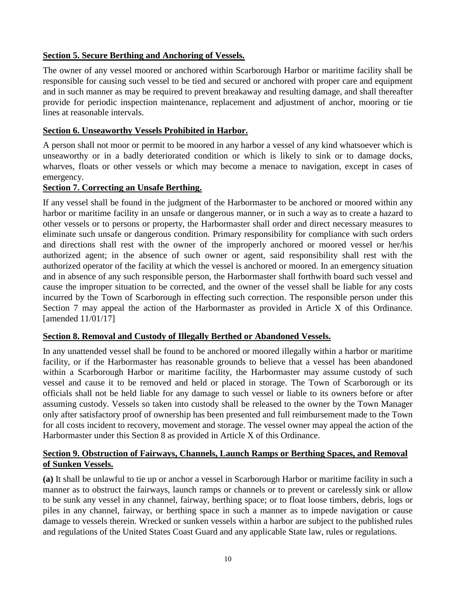# <span id="page-12-0"></span>**Section 5. Secure Berthing and Anchoring of Vessels.**

The owner of any vessel moored or anchored within Scarborough Harbor or maritime facility shall be responsible for causing such vessel to be tied and secured or anchored with proper care and equipment and in such manner as may be required to prevent breakaway and resulting damage, and shall thereafter provide for periodic inspection maintenance, replacement and adjustment of anchor, mooring or tie lines at reasonable intervals.

#### <span id="page-12-1"></span>**Section 6. Unseaworthy Vessels Prohibited in Harbor.**

A person shall not moor or permit to be moored in any harbor a vessel of any kind whatsoever which is unseaworthy or in a badly deteriorated condition or which is likely to sink or to damage docks, wharves, floats or other vessels or which may become a menace to navigation, except in cases of emergency.

#### <span id="page-12-2"></span>**Section 7. Correcting an Unsafe Berthing.**

If any vessel shall be found in the judgment of the Harbormaster to be anchored or moored within any harbor or maritime facility in an unsafe or dangerous manner, or in such a way as to create a hazard to other vessels or to persons or property, the Harbormaster shall order and direct necessary measures to eliminate such unsafe or dangerous condition. Primary responsibility for compliance with such orders and directions shall rest with the owner of the improperly anchored or moored vessel or her/his authorized agent; in the absence of such owner or agent, said responsibility shall rest with the authorized operator of the facility at which the vessel is anchored or moored. In an emergency situation and in absence of any such responsible person, the Harbormaster shall forthwith board such vessel and cause the improper situation to be corrected, and the owner of the vessel shall be liable for any costs incurred by the Town of Scarborough in effecting such correction. The responsible person under this Section 7 may appeal the action of the Harbormaster as provided in Article X of this Ordinance. [amended 11/01/17]

#### <span id="page-12-3"></span>**Section 8. Removal and Custody of Illegally Berthed or Abandoned Vessels.**

In any unattended vessel shall be found to be anchored or moored illegally within a harbor or maritime facility, or if the Harbormaster has reasonable grounds to believe that a vessel has been abandoned within a Scarborough Harbor or maritime facility, the Harbormaster may assume custody of such vessel and cause it to be removed and held or placed in storage. The Town of Scarborough or its officials shall not be held liable for any damage to such vessel or liable to its owners before or after assuming custody. Vessels so taken into custody shall be released to the owner by the Town Manager only after satisfactory proof of ownership has been presented and full reimbursement made to the Town for all costs incident to recovery, movement and storage. The vessel owner may appeal the action of the Harbormaster under this Section 8 as provided in Article X of this Ordinance.

# <span id="page-12-4"></span>**Section 9. Obstruction of Fairways, Channels, Launch Ramps or Berthing Spaces, and Removal of Sunken Vessels.**

**(a)** It shall be unlawful to tie up or anchor a vessel in Scarborough Harbor or maritime facility in such a manner as to obstruct the fairways, launch ramps or channels or to prevent or carelessly sink or allow to be sunk any vessel in any channel, fairway, berthing space; or to float loose timbers, debris, logs or piles in any channel, fairway, or berthing space in such a manner as to impede navigation or cause damage to vessels therein. Wrecked or sunken vessels within a harbor are subject to the published rules and regulations of the United States Coast Guard and any applicable State law, rules or regulations.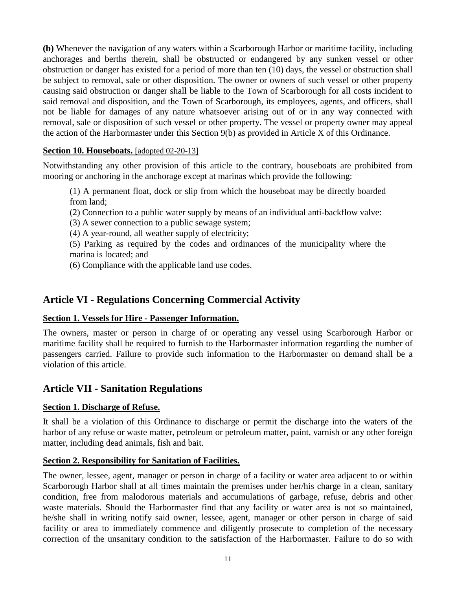**(b)** Whenever the navigation of any waters within a Scarborough Harbor or maritime facility, including anchorages and berths therein, shall be obstructed or endangered by any sunken vessel or other obstruction or danger has existed for a period of more than ten (10) days, the vessel or obstruction shall be subject to removal, sale or other disposition. The owner or owners of such vessel or other property causing said obstruction or danger shall be liable to the Town of Scarborough for all costs incident to said removal and disposition, and the Town of Scarborough, its employees, agents, and officers, shall not be liable for damages of any nature whatsoever arising out of or in any way connected with removal, sale or disposition of such vessel or other property. The vessel or property owner may appeal the action of the Harbormaster under this Section 9(b) as provided in Article X of this Ordinance.

# **Section 10. Houseboats.** [adopted 02-20-13]

Notwithstanding any other provision of this article to the contrary, houseboats are prohibited from mooring or anchoring in the anchorage except at marinas which provide the following:

(1) A permanent float, dock or slip from which the houseboat may be directly boarded from land;

- (2) Connection to a public water supply by means of an individual anti-backflow valve:
- (3) A sewer connection to a public sewage system;
- (4) A year-round, all weather supply of electricity;

(5) Parking as required by the codes and ordinances of the municipality where the marina is located; and

(6) Compliance with the applicable land use codes.

# <span id="page-13-0"></span>**Article VI - Regulations Concerning Commercial Activity**

#### <span id="page-13-1"></span>**Section 1. Vessels for Hire - Passenger Information.**

The owners, master or person in charge of or operating any vessel using Scarborough Harbor or maritime facility shall be required to furnish to the Harbormaster information regarding the number of passengers carried. Failure to provide such information to the Harbormaster on demand shall be a violation of this article.

# <span id="page-13-2"></span>**Article VII - Sanitation Regulations**

# <span id="page-13-3"></span>**Section 1. Discharge of Refuse.**

It shall be a violation of this Ordinance to discharge or permit the discharge into the waters of the harbor of any refuse or waste matter, petroleum or petroleum matter, paint, varnish or any other foreign matter, including dead animals, fish and bait.

#### <span id="page-13-4"></span>**Section 2. Responsibility for Sanitation of Facilities.**

The owner, lessee, agent, manager or person in charge of a facility or water area adjacent to or within Scarborough Harbor shall at all times maintain the premises under her/his charge in a clean, sanitary condition, free from malodorous materials and accumulations of garbage, refuse, debris and other waste materials. Should the Harbormaster find that any facility or water area is not so maintained, he/she shall in writing notify said owner, lessee, agent, manager or other person in charge of said facility or area to immediately commence and diligently prosecute to completion of the necessary correction of the unsanitary condition to the satisfaction of the Harbormaster. Failure to do so with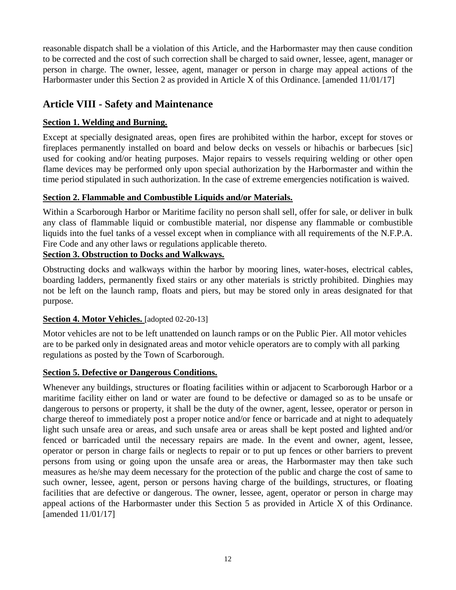reasonable dispatch shall be a violation of this Article, and the Harbormaster may then cause condition to be corrected and the cost of such correction shall be charged to said owner, lessee, agent, manager or person in charge. The owner, lessee, agent, manager or person in charge may appeal actions of the Harbormaster under this Section 2 as provided in Article X of this Ordinance. [amended 11/01/17]

# <span id="page-14-0"></span>**Article VIII - Safety and Maintenance**

# <span id="page-14-1"></span>**Section 1. Welding and Burning.**

Except at specially designated areas, open fires are prohibited within the harbor, except for stoves or fireplaces permanently installed on board and below decks on vessels or hibachis or barbecues [sic] used for cooking and/or heating purposes. Major repairs to vessels requiring welding or other open flame devices may be performed only upon special authorization by the Harbormaster and within the time period stipulated in such authorization. In the case of extreme emergencies notification is waived.

# <span id="page-14-2"></span>**Section 2. Flammable and Combustible Liquids and/or Materials.**

Within a Scarborough Harbor or Maritime facility no person shall sell, offer for sale, or deliver in bulk any class of flammable liquid or combustible material, nor dispense any flammable or combustible liquids into the fuel tanks of a vessel except when in compliance with all requirements of the N.F.P.A. Fire Code and any other laws or regulations applicable thereto.

# <span id="page-14-3"></span>**Section 3. Obstruction to Docks and Walkways.**

Obstructing docks and walkways within the harbor by mooring lines, water-hoses, electrical cables, boarding ladders, permanently fixed stairs or any other materials is strictly prohibited. Dinghies may not be left on the launch ramp, floats and piers, but may be stored only in areas designated for that purpose.

# <span id="page-14-4"></span>**Section 4. Motor Vehicles.** [adopted 02-20-13]

Motor vehicles are not to be left unattended on launch ramps or on the Public Pier. All motor vehicles are to be parked only in designated areas and motor vehicle operators are to comply with all parking regulations as posted by the Town of Scarborough.

# <span id="page-14-5"></span>**Section 5. Defective or Dangerous Conditions.**

<span id="page-14-6"></span>Whenever any buildings, structures or floating facilities within or adjacent to Scarborough Harbor or a maritime facility either on land or water are found to be defective or damaged so as to be unsafe or dangerous to persons or property, it shall be the duty of the owner, agent, lessee, operator or person in charge thereof to immediately post a proper notice and/or fence or barricade and at night to adequately light such unsafe area or areas, and such unsafe area or areas shall be kept posted and lighted and/or fenced or barricaded until the necessary repairs are made. In the event and owner, agent, lessee, operator or person in charge fails or neglects to repair or to put up fences or other barriers to prevent persons from using or going upon the unsafe area or areas, the Harbormaster may then take such measures as he/she may deem necessary for the protection of the public and charge the cost of same to such owner, lessee, agent, person or persons having charge of the buildings, structures, or floating facilities that are defective or dangerous. The owner, lessee, agent, operator or person in charge may appeal actions of the Harbormaster under this Section 5 as provided in Article X of this Ordinance. [amended 11/01/17]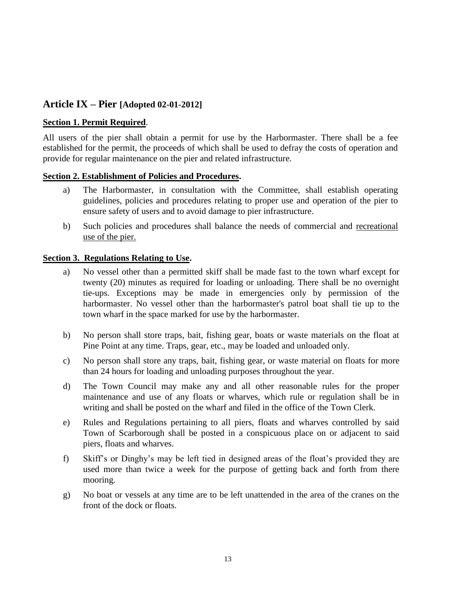# **Article IX – Pier [Adopted 02-01-2012]**

#### **Section 1. Permit Required**.

All users of the pier shall obtain a permit for use by the Harbormaster. There shall be a fee established for the permit, the proceeds of which shall be used to defray the costs of operation and provide for regular maintenance on the pier and related infrastructure.

#### **Section 2. Establishment of Policies and Procedures.**

- a) The Harbormaster, in consultation with the Committee, shall establish operating guidelines, policies and procedures relating to proper use and operation of the pier to ensure safety of users and to avoid damage to pier infrastructure.
- b) Such policies and procedures shall balance the needs of commercial and recreational use of the pier.

#### **Section 3. Regulations Relating to Use.**

- a) No vessel other than a permitted skiff shall be made fast to the town wharf except for twenty (20) minutes as required for loading or unloading. There shall be no overnight tie-ups. Exceptions may be made in emergencies only by permission of the harbormaster. No vessel other than the harbormaster's patrol boat shall tie up to the town wharf in the space marked for use by the harbormaster.
- b) No person shall store traps, bait, fishing gear, boats or waste materials on the float at Pine Point at any time. Traps, gear, etc., may be loaded and unloaded only.
- c) No person shall store any traps, bait, fishing gear, or waste material on floats for more than 24 hours for loading and unloading purposes throughout the year.
- d) The Town Council may make any and all other reasonable rules for the proper maintenance and use of any floats or wharves, which rule or regulation shall be in writing and shall be posted on the wharf and filed in the office of the Town Clerk.
- e) Rules and Regulations pertaining to all piers, floats and wharves controlled by said Town of Scarborough shall be posted in a conspicuous place on or adjacent to said piers, floats and wharves.
- f) Skiff's or Dinghy's may be left tied in designed areas of the float's provided they are used more than twice a week for the purpose of getting back and forth from there mooring.
- g) No boat or vessels at any time are to be left unattended in the area of the cranes on the front of the dock or floats.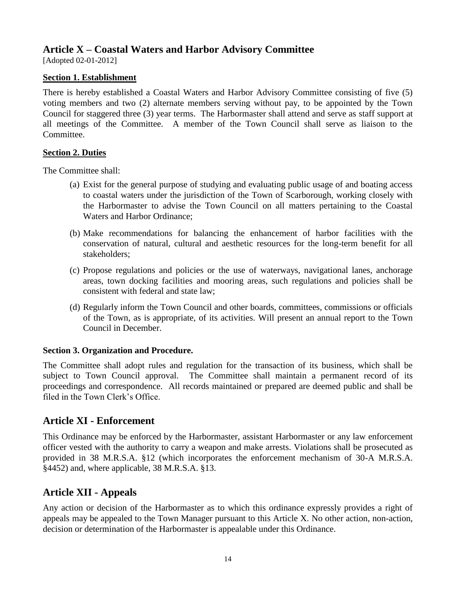# <span id="page-16-0"></span>**Article X – Coastal Waters and Harbor Advisory Committee**

[Adopted 02-01-2012]

# **Section 1. Establishment**

There is hereby established a Coastal Waters and Harbor Advisory Committee consisting of five (5) voting members and two (2) alternate members serving without pay, to be appointed by the Town Council for staggered three (3) year terms. The Harbormaster shall attend and serve as staff support at all meetings of the Committee. A member of the Town Council shall serve as liaison to the Committee.

# **Section 2. Duties**

The Committee shall:

- (a) Exist for the general purpose of studying and evaluating public usage of and boating access to coastal waters under the jurisdiction of the Town of Scarborough, working closely with the Harbormaster to advise the Town Council on all matters pertaining to the Coastal Waters and Harbor Ordinance;
- (b) Make recommendations for balancing the enhancement of harbor facilities with the conservation of natural, cultural and aesthetic resources for the long-term benefit for all stakeholders;
- (c) Propose regulations and policies or the use of waterways, navigational lanes, anchorage areas, town docking facilities and mooring areas, such regulations and policies shall be consistent with federal and state law;
- (d) Regularly inform the Town Council and other boards, committees, commissions or officials of the Town, as is appropriate, of its activities. Will present an annual report to the Town Council in December.

# **Section 3. Organization and Procedure.**

The Committee shall adopt rules and regulation for the transaction of its business, which shall be subject to Town Council approval. The Committee shall maintain a permanent record of its proceedings and correspondence. All records maintained or prepared are deemed public and shall be filed in the Town Clerk's Office.

# <span id="page-16-1"></span>**Article XI - Enforcement**

This Ordinance may be enforced by the Harbormaster, assistant Harbormaster or any law enforcement officer vested with the authority to carry a weapon and make arrests. Violations shall be prosecuted as provided in 38 M.R.S.A. §12 (which incorporates the enforcement mechanism of 30-A M.R.S.A. §4452) and, where applicable, 38 M.R.S.A. §13.

# <span id="page-16-2"></span>**Article XII - Appeals**

Any action or decision of the Harbormaster as to which this ordinance expressly provides a right of appeals may be appealed to the Town Manager pursuant to this Article X. No other action, non-action, decision or determination of the Harbormaster is appealable under this Ordinance.